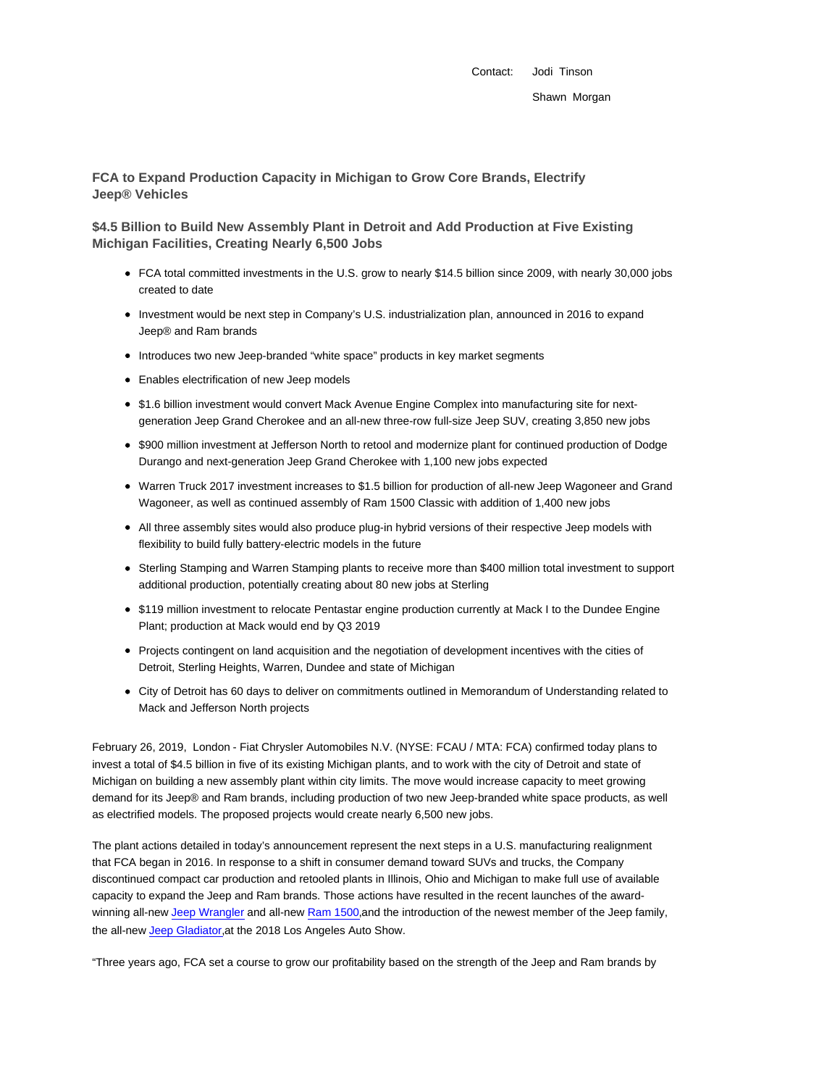Contact: Jodi Tinson Shawn Morgan

**FCA to Expand Production Capacity in Michigan to Grow Core Brands, Electrify Jeep® Vehicles**

**\$4.5 Billion to Build New Assembly Plant in Detroit and Add Production at Five Existing Michigan Facilities, Creating Nearly 6,500 Jobs**

- FCA total committed investments in the U.S. grow to nearly \$14.5 billion since 2009, with nearly 30,000 jobs created to date
- Investment would be next step in Company's U.S. industrialization plan, announced in 2016 to expand Jeep® and Ram brands
- Introduces two new Jeep-branded "white space" products in key market segments
- Enables electrification of new Jeep models
- \$1.6 billion investment would convert Mack Avenue Engine Complex into manufacturing site for nextgeneration Jeep Grand Cherokee and an all-new three-row full-size Jeep SUV, creating 3,850 new jobs
- \$900 million investment at Jefferson North to retool and modernize plant for continued production of Dodge Durango and next-generation Jeep Grand Cherokee with 1,100 new jobs expected
- Warren Truck 2017 investment increases to \$1.5 billion for production of all-new Jeep Wagoneer and Grand Wagoneer, as well as continued assembly of Ram 1500 Classic with addition of 1,400 new jobs
- All three assembly sites would also produce plug-in hybrid versions of their respective Jeep models with flexibility to build fully battery-electric models in the future
- Sterling Stamping and Warren Stamping plants to receive more than \$400 million total investment to support additional production, potentially creating about 80 new jobs at Sterling
- \$119 million investment to relocate Pentastar engine production currently at Mack I to the Dundee Engine Plant; production at Mack would end by Q3 2019
- Projects contingent on land acquisition and the negotiation of development incentives with the cities of Detroit, Sterling Heights, Warren, Dundee and state of Michigan
- City of Detroit has 60 days to deliver on commitments outlined in Memorandum of Understanding related to Mack and Jefferson North projects

February 26, 2019, London - Fiat Chrysler Automobiles N.V. (NYSE: FCAU / MTA: FCA) confirmed today plans to invest a total of \$4.5 billion in five of its existing Michigan plants, and to work with the city of Detroit and state of Michigan on building a new assembly plant within city limits. The move would increase capacity to meet growing demand for its Jeep® and Ram brands, including production of two new Jeep-branded white space products, as well as electrified models. The proposed projects would create nearly 6,500 new jobs.

The plant actions detailed in today's announcement represent the next steps in a U.S. manufacturing realignment that FCA began in 2016. In response to a shift in consumer demand toward SUVs and trucks, the Company discontinued compact car production and retooled plants in Illinois, Ohio and Michigan to make full use of available capacity to expand the Jeep and Ram brands. Those actions have resulted in the recent launches of the awardwinning all-new Jeep Wrangler and all-new Ram 1500, and the introduction of the newest member of the Jeep family, the all-new Jeep Gladiator, at the 2018 Los Angeles Auto Show.

"Three years ago, FCA set a course to grow our profitability based on the strength of the Jeep and Ram brands by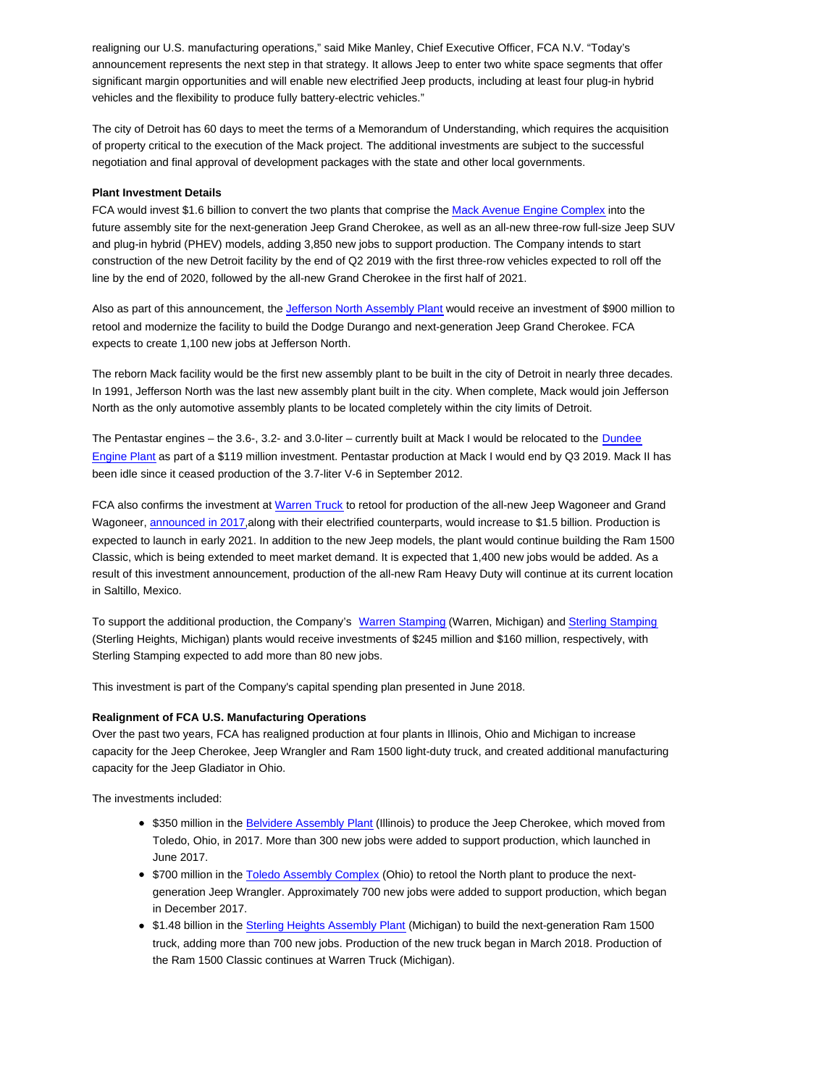realigning our U.S. manufacturing operations," said Mike Manley, Chief Executive Officer, FCA N.V. "Today's announcement represents the next step in that strategy. It allows Jeep to enter two white space segments that offer significant margin opportunities and will enable new electrified Jeep products, including at least four plug-in hybrid vehicles and the flexibility to produce fully battery-electric vehicles."

The city of Detroit has 60 days to meet the terms of a Memorandum of Understanding, which requires the acquisition of property critical to the execution of the Mack project. The additional investments are subject to the successful negotiation and final approval of development packages with the state and other local governments.

## **Plant Investment Details**

FCA would invest \$1.6 billion to convert the two plants that comprise the Mack Avenue Engine Complex into the future assembly site for the next-generation Jeep Grand Cherokee, as well as an all-new three-row full-size Jeep SUV and plug-in hybrid (PHEV) models, adding 3,850 new jobs to support production. The Company intends to start construction of the new Detroit facility by the end of Q2 2019 with the first three-row vehicles expected to roll off the line by the end of 2020, followed by the all-new Grand Cherokee in the first half of 2021.

Also as part of this announcement, the Jefferson North Assembly Plant would receive an investment of \$900 million to retool and modernize the facility to build the Dodge Durango and next-generation Jeep Grand Cherokee. FCA expects to create 1,100 new jobs at Jefferson North.

The reborn Mack facility would be the first new assembly plant to be built in the city of Detroit in nearly three decades. In 1991, Jefferson North was the last new assembly plant built in the city. When complete, Mack would join Jefferson North as the only automotive assembly plants to be located completely within the city limits of Detroit.

The Pentastar engines – the 3.6-, 3.2- and 3.0-liter – currently built at Mack I would be relocated to the Dundee Engine Plant as part of a \$119 million investment. Pentastar production at Mack I would end by Q3 2019. Mack II has been idle since it ceased production of the 3.7-liter V-6 in September 2012.

FCA also confirms the investment at Warren Truck to retool for production of the all-new Jeep Wagoneer and Grand Wagoneer, announced in 2017,along with their electrified counterparts, would increase to \$1.5 billion. Production is expected to launch in early 2021. In addition to the new Jeep models, the plant would continue building the Ram 1500 Classic, which is being extended to meet market demand. It is expected that 1,400 new jobs would be added. As a result of this investment announcement, production of the all-new Ram Heavy Duty will continue at its current location in Saltillo, Mexico.

To support the additional production, the Company's Warren Stamping (Warren, Michigan) and Sterling Stamping (Sterling Heights, Michigan) plants would receive investments of \$245 million and \$160 million, respectively, with Sterling Stamping expected to add more than 80 new jobs.

This investment is part of the Company's capital spending plan presented in June 2018.

## **Realignment of FCA U.S. Manufacturing Operations**

Over the past two years, FCA has realigned production at four plants in Illinois, Ohio and Michigan to increase capacity for the Jeep Cherokee, Jeep Wrangler and Ram 1500 light-duty truck, and created additional manufacturing capacity for the Jeep Gladiator in Ohio.

The investments included:

- \$350 million in the Belvidere Assembly Plant (Illinois) to produce the Jeep Cherokee, which moved from Toledo, Ohio, in 2017. More than 300 new jobs were added to support production, which launched in June 2017.
- \$700 million in the Toledo Assembly Complex (Ohio) to retool the North plant to produce the nextgeneration Jeep Wrangler. Approximately 700 new jobs were added to support production, which began in December 2017.
- \$1.48 billion in the Sterling Heights Assembly Plant (Michigan) to build the next-generation Ram 1500 truck, adding more than 700 new jobs. Production of the new truck began in March 2018. Production of the Ram 1500 Classic continues at Warren Truck (Michigan).